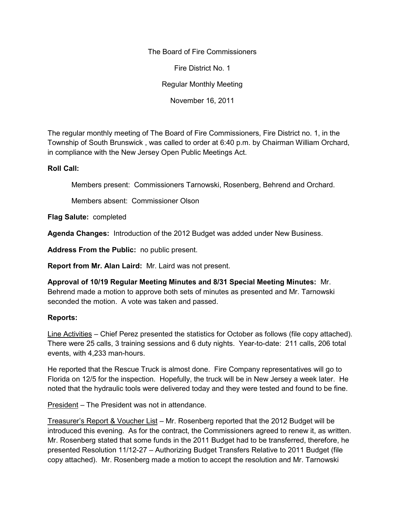The Board of Fire Commissioners

Fire District No. 1

Regular Monthly Meeting

November 16, 2011

The regular monthly meeting of The Board of Fire Commissioners, Fire District no. 1, in the Township of South Brunswick , was called to order at 6:40 p.m. by Chairman William Orchard, in compliance with the New Jersey Open Public Meetings Act.

## **Roll Call:**

Members present: Commissioners Tarnowski, Rosenberg, Behrend and Orchard.

Members absent: Commissioner Olson

**Flag Salute:** completed

**Agenda Changes:** Introduction of the 2012 Budget was added under New Business.

**Address From the Public:** no public present.

**Report from Mr. Alan Laird:** Mr. Laird was not present.

**Approval of 10/19 Regular Meeting Minutes and 8/31 Special Meeting Minutes:** Mr. Behrend made a motion to approve both sets of minutes as presented and Mr. Tarnowski seconded the motion. A vote was taken and passed.

## **Reports:**

Line Activities – Chief Perez presented the statistics for October as follows (file copy attached). There were 25 calls, 3 training sessions and 6 duty nights. Year-to-date: 211 calls, 206 total events, with 4,233 man-hours.

He reported that the Rescue Truck is almost done. Fire Company representatives will go to Florida on 12/5 for the inspection. Hopefully, the truck will be in New Jersey a week later. He noted that the hydraulic tools were delivered today and they were tested and found to be fine.

President – The President was not in attendance.

Treasurer's Report & Voucher List – Mr. Rosenberg reported that the 2012 Budget will be introduced this evening. As for the contract, the Commissioners agreed to renew it, as written. Mr. Rosenberg stated that some funds in the 2011 Budget had to be transferred, therefore, he presented Resolution 11/12-27 – Authorizing Budget Transfers Relative to 2011 Budget (file copy attached). Mr. Rosenberg made a motion to accept the resolution and Mr. Tarnowski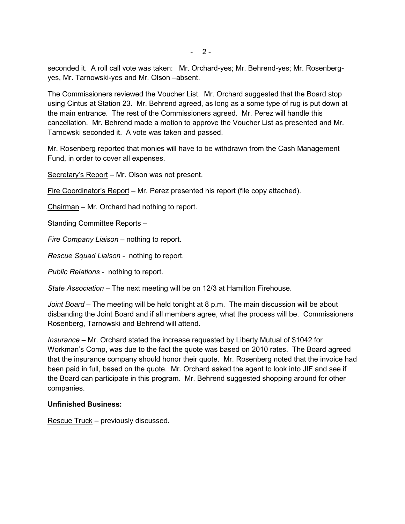seconded it. A roll call vote was taken: Mr. Orchard-yes; Mr. Behrend-yes; Mr. Rosenberg yes, Mr. Tarnowski-yes and Mr. Olson –absent.

The Commissioners reviewed the Voucher List. Mr. Orchard suggested that the Board stop using Cintus at Station 23. Mr. Behrend agreed, as long as a some type of rug is put down at the main entrance. The rest of the Commissioners agreed. Mr. Perez will handle this cancellation. Mr. Behrend made a motion to approve the Voucher List as presented and Mr. Tarnowski seconded it. A vote was taken and passed.

Mr. Rosenberg reported that monies will have to be withdrawn from the Cash Management Fund, in order to cover all expenses.

Secretary's Report – Mr. Olson was not present.

Fire Coordinator's Report – Mr. Perez presented his report (file copy attached).

Chairman – Mr. Orchard had nothing to report.

Standing Committee Reports –

*Fire Company Liaison –* nothing to report.

*Rescue Squad Liaison -* nothing to report.

*Public Relations -* nothing to report.

*State Association –* The next meeting will be on 12/3 at Hamilton Firehouse.

*Joint Board –* The meeting will be held tonight at 8 p.m. The main discussion will be about disbanding the Joint Board and if all members agree, what the process will be. Commissioners Rosenberg, Tarnowski and Behrend will attend.

*Insurance –* Mr. Orchard stated the increase requested by Liberty Mutual of \$1042 for Workman's Comp, was due to the fact the quote was based on 2010 rates. The Board agreed that the insurance company should honor their quote. Mr. Rosenberg noted that the invoice had been paid in full, based on the quote. Mr. Orchard asked the agent to look into JIF and see if the Board can participate in this program. Mr. Behrend suggested shopping around for other companies.

## **Unfinished Business:**

Rescue Truck – previously discussed.